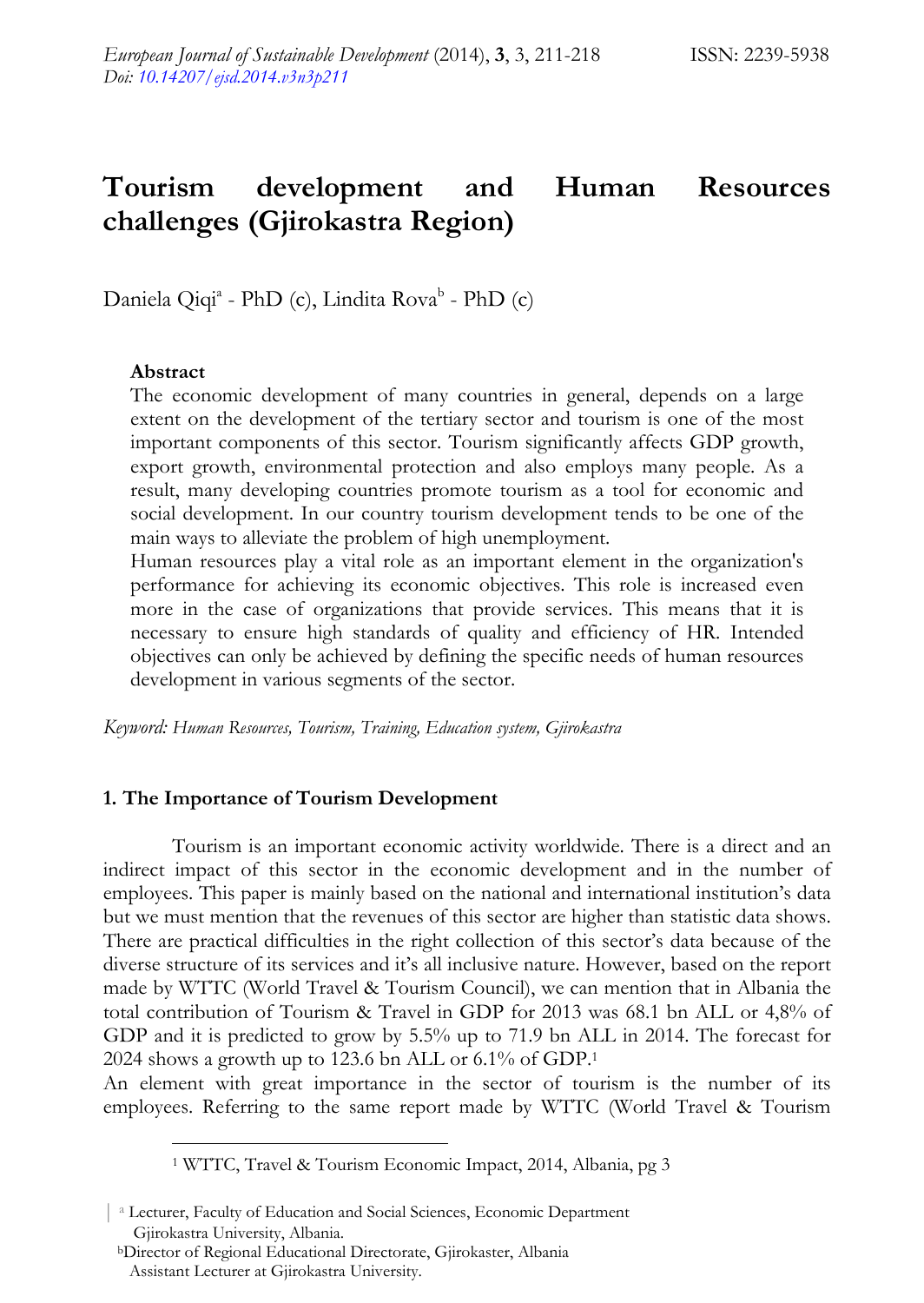# **Tourism development and Human Resources challenges (Gjirokastra Region)**

Daniela Qiqi<sup>a</sup> - PhD (c), Lindita Rova<sup>b</sup> - PhD (c)

#### **Abstract**

 $\overline{a}$ 

The economic development of many countries in general, depends on a large extent on the development of the tertiary sector and tourism is one of the most important components of this sector. Tourism significantly affects GDP growth, export growth, environmental protection and also employs many people. As a result, many developing countries promote tourism as a tool for economic and social development. In our country tourism development tends to be one of the main ways to alleviate the problem of high unemployment.

Human resources play a vital role as an important element in the organization's performance for achieving its economic objectives. This role is increased even more in the case of organizations that provide services. This means that it is necessary to ensure high standards of quality and efficiency of HR. Intended objectives can only be achieved by defining the specific needs of human resources development in various segments of the sector.

*Keyword: Human Resources, Tourism, Training, Education system, Gjirokastra* 

#### **1. The Importance of Tourism Development**

Tourism is an important economic activity worldwide. There is a direct and an indirect impact of this sector in the economic development and in the number of employees. This paper is mainly based on the national and international institution's data but we must mention that the revenues of this sector are higher than statistic data shows. There are practical difficulties in the right collection of this sector's data because of the diverse structure of its services and it's all inclusive nature. However, based on the report made by WTTC (World Travel & Tourism Council), we can mention that in Albania the total contribution of Tourism & Travel in GDP for 2013 was 68.1 bn ALL or 4,8% of GDP and it is predicted to grow by 5.5% up to 71.9 bn ALL in 2014. The forecast for 2024 shows a growth up to 123.6 bn ALL or 6.1% of GDP.1

An element with great importance in the sector of tourism is the number of its employees. Referring to the same report made by WTTC (World Travel & Tourism

<sup>1</sup> WTTC, Travel & Tourism Economic Impact, 2014, Albania, pg 3

<sup>&</sup>lt;sup>a</sup> Lecturer, Faculty of Education and Social Sciences, Economic Department Gjirokastra University, Albania.

bDirector of Regional Educational Directorate, Gjirokaster, Albania Assistant Lecturer at Gjirokastra University.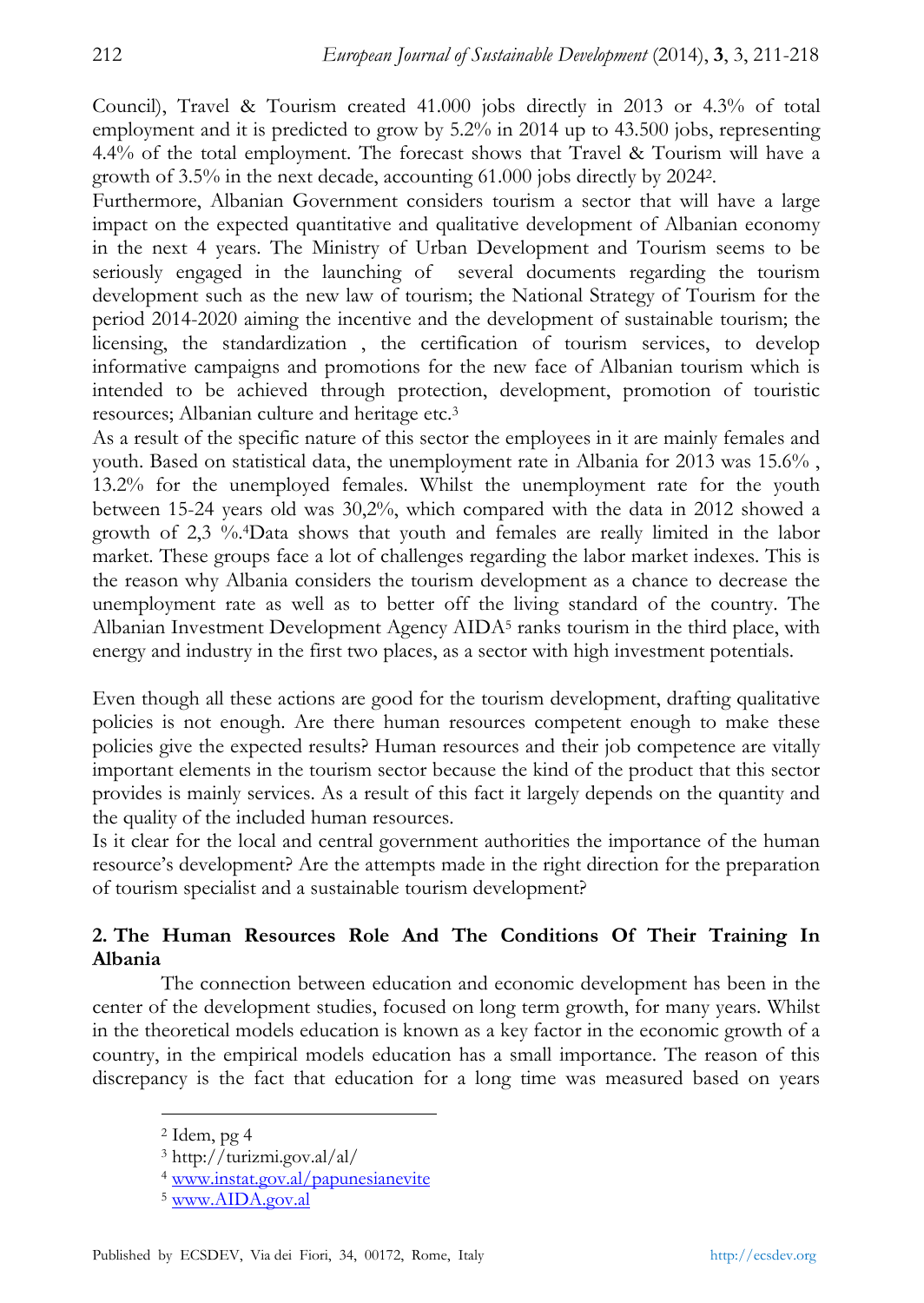Council), Travel & Tourism created 41.000 jobs directly in 2013 or 4.3% of total employment and it is predicted to grow by 5.2% in 2014 up to 43.500 jobs, representing 4.4% of the total employment. The forecast shows that Travel & Tourism will have a growth of 3.5% in the next decade, accounting 61.000 jobs directly by 20242.

Furthermore, Albanian Government considers tourism a sector that will have a large impact on the expected quantitative and qualitative development of Albanian economy in the next 4 years. The Ministry of Urban Development and Tourism seems to be seriously engaged in the launching of several documents regarding the tourism development such as the new law of tourism; the National Strategy of Tourism for the period 2014-2020 aiming the incentive and the development of sustainable tourism; the licensing, the standardization , the certification of tourism services, to develop informative campaigns and promotions for the new face of Albanian tourism which is intended to be achieved through protection, development, promotion of touristic resources; Albanian culture and heritage etc.3

As a result of the specific nature of this sector the employees in it are mainly females and youth. Based on statistical data, the unemployment rate in Albania for 2013 was 15.6% , 13.2% for the unemployed females. Whilst the unemployment rate for the youth between 15-24 years old was 30,2%, which compared with the data in 2012 showed a growth of 2,3 %.4Data shows that youth and females are really limited in the labor market. These groups face a lot of challenges regarding the labor market indexes. This is the reason why Albania considers the tourism development as a chance to decrease the unemployment rate as well as to better off the living standard of the country. The Albanian Investment Development Agency AIDA5 ranks tourism in the third place, with energy and industry in the first two places, as a sector with high investment potentials.

Even though all these actions are good for the tourism development, drafting qualitative policies is not enough. Are there human resources competent enough to make these policies give the expected results? Human resources and their job competence are vitally important elements in the tourism sector because the kind of the product that this sector provides is mainly services. As a result of this fact it largely depends on the quantity and the quality of the included human resources.

Is it clear for the local and central government authorities the importance of the human resource's development? Are the attempts made in the right direction for the preparation of tourism specialist and a sustainable tourism development?

## **2. The Human Resources Role And The Conditions Of Their Training In Albania**

The connection between education and economic development has been in the center of the development studies, focused on long term growth, for many years. Whilst in the theoretical models education is known as a key factor in the economic growth of a country, in the empirical models education has a small importance. The reason of this discrepancy is the fact that education for a long time was measured based on years

 $<sup>2</sup>$  Idem, pg 4</sup>

<sup>3</sup> http://turizmi.gov.al/al/

<sup>4</sup> www.instat.gov.al/papunesianevite

<sup>5</sup> www.AIDA.gov.al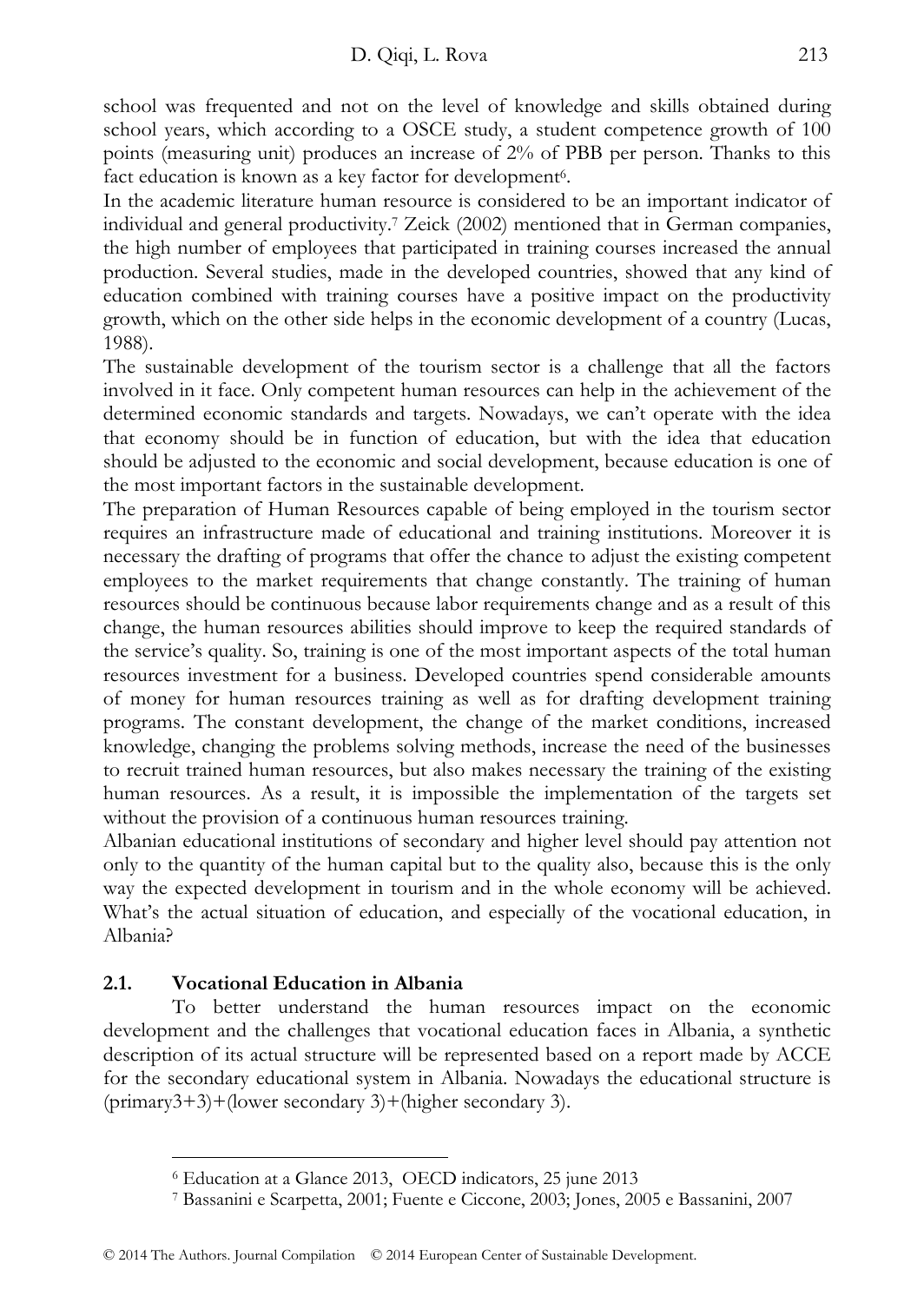school was frequented and not on the level of knowledge and skills obtained during school years, which according to a OSCE study, a student competence growth of 100 points (measuring unit) produces an increase of 2% of PBB per person. Thanks to this fact education is known as a key factor for development<sup>6</sup>.

In the academic literature human resource is considered to be an important indicator of individual and general productivity.7 Zeick (2002) mentioned that in German companies, the high number of employees that participated in training courses increased the annual production. Several studies, made in the developed countries, showed that any kind of education combined with training courses have a positive impact on the productivity growth, which on the other side helps in the economic development of a country (Lucas, 1988).

The sustainable development of the tourism sector is a challenge that all the factors involved in it face. Only competent human resources can help in the achievement of the determined economic standards and targets. Nowadays, we can't operate with the idea that economy should be in function of education, but with the idea that education should be adjusted to the economic and social development, because education is one of the most important factors in the sustainable development.

The preparation of Human Resources capable of being employed in the tourism sector requires an infrastructure made of educational and training institutions. Moreover it is necessary the drafting of programs that offer the chance to adjust the existing competent employees to the market requirements that change constantly. The training of human resources should be continuous because labor requirements change and as a result of this change, the human resources abilities should improve to keep the required standards of the service's quality. So, training is one of the most important aspects of the total human resources investment for a business. Developed countries spend considerable amounts of money for human resources training as well as for drafting development training programs. The constant development, the change of the market conditions, increased knowledge, changing the problems solving methods, increase the need of the businesses to recruit trained human resources, but also makes necessary the training of the existing human resources. As a result, it is impossible the implementation of the targets set without the provision of a continuous human resources training.

Albanian educational institutions of secondary and higher level should pay attention not only to the quantity of the human capital but to the quality also, because this is the only way the expected development in tourism and in the whole economy will be achieved. What's the actual situation of education, and especially of the vocational education, in Albania?

## **2.1. Vocational Education in Albania**

 $\overline{a}$ 

To better understand the human resources impact on the economic development and the challenges that vocational education faces in Albania, a synthetic description of its actual structure will be represented based on a report made by ACCE for the secondary educational system in Albania. Nowadays the educational structure is (primary3+3)+(lower secondary 3)+(higher secondary 3).

<sup>6</sup> Education at a Glance 2013, OECD indicators, 25 june 2013 7 Bassanini e Scarpetta, 2001; Fuente e Ciccone, 2003; Jones, 2005 e Bassanini, 2007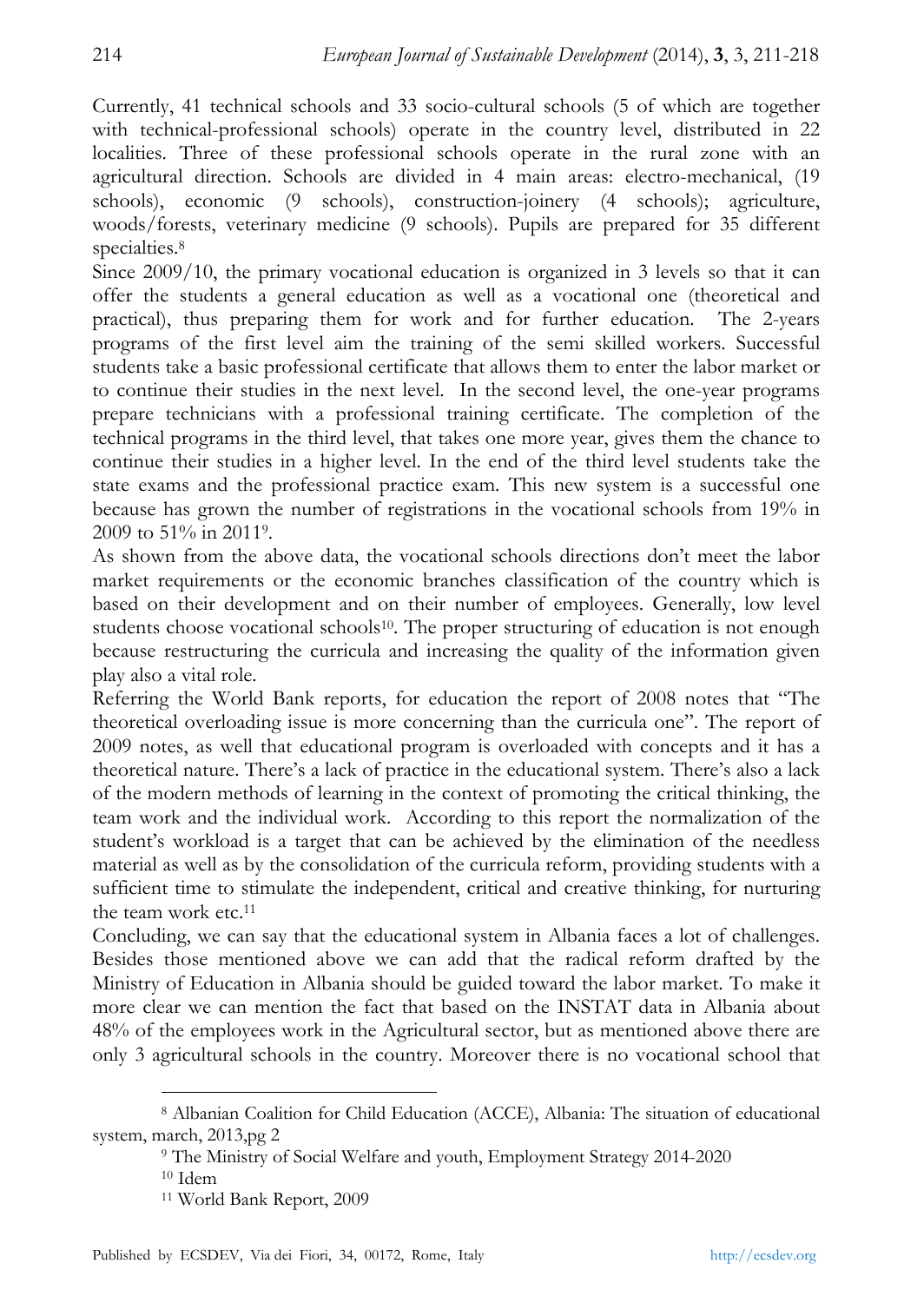Currently, 41 technical schools and 33 socio-cultural schools (5 of which are together with technical-professional schools) operate in the country level, distributed in 22 localities. Three of these professional schools operate in the rural zone with an agricultural direction. Schools are divided in 4 main areas: electro-mechanical, (19 schools), economic (9 schools), construction-joinery (4 schools); agriculture, woods/forests, veterinary medicine (9 schools). Pupils are prepared for 35 different specialties.<sup>8</sup>

Since 2009/10, the primary vocational education is organized in 3 levels so that it can offer the students a general education as well as a vocational one (theoretical and practical), thus preparing them for work and for further education. The 2-years programs of the first level aim the training of the semi skilled workers. Successful students take a basic professional certificate that allows them to enter the labor market or to continue their studies in the next level. In the second level, the one-year programs prepare technicians with a professional training certificate. The completion of the technical programs in the third level, that takes one more year, gives them the chance to continue their studies in a higher level. In the end of the third level students take the state exams and the professional practice exam. This new system is a successful one because has grown the number of registrations in the vocational schools from 19% in 2009 to 51% in 20119.

As shown from the above data, the vocational schools directions don't meet the labor market requirements or the economic branches classification of the country which is based on their development and on their number of employees. Generally, low level students choose vocational schools<sup>10</sup>. The proper structuring of education is not enough because restructuring the curricula and increasing the quality of the information given play also a vital role.

Referring the World Bank reports, for education the report of 2008 notes that "The theoretical overloading issue is more concerning than the curricula one". The report of 2009 notes, as well that educational program is overloaded with concepts and it has a theoretical nature. There's a lack of practice in the educational system. There's also a lack of the modern methods of learning in the context of promoting the critical thinking, the team work and the individual work. According to this report the normalization of the student's workload is a target that can be achieved by the elimination of the needless material as well as by the consolidation of the curricula reform, providing students with a sufficient time to stimulate the independent, critical and creative thinking, for nurturing the team work etc.11

Concluding, we can say that the educational system in Albania faces a lot of challenges. Besides those mentioned above we can add that the radical reform drafted by the Ministry of Education in Albania should be guided toward the labor market. To make it more clear we can mention the fact that based on the INSTAT data in Albania about 48% of the employees work in the Agricultural sector, but as mentioned above there are only 3 agricultural schools in the country. Moreover there is no vocational school that

<sup>8</sup> Albanian Coalition for Child Education (ACCE), Albania: The situation of educational system, march, 2013,pg 2<br><sup>9</sup> The Ministry of Social Welfare and youth, Employment Strategy 2014-2020<br><sup>10</sup> Idem

<sup>11</sup> World Bank Report, 2009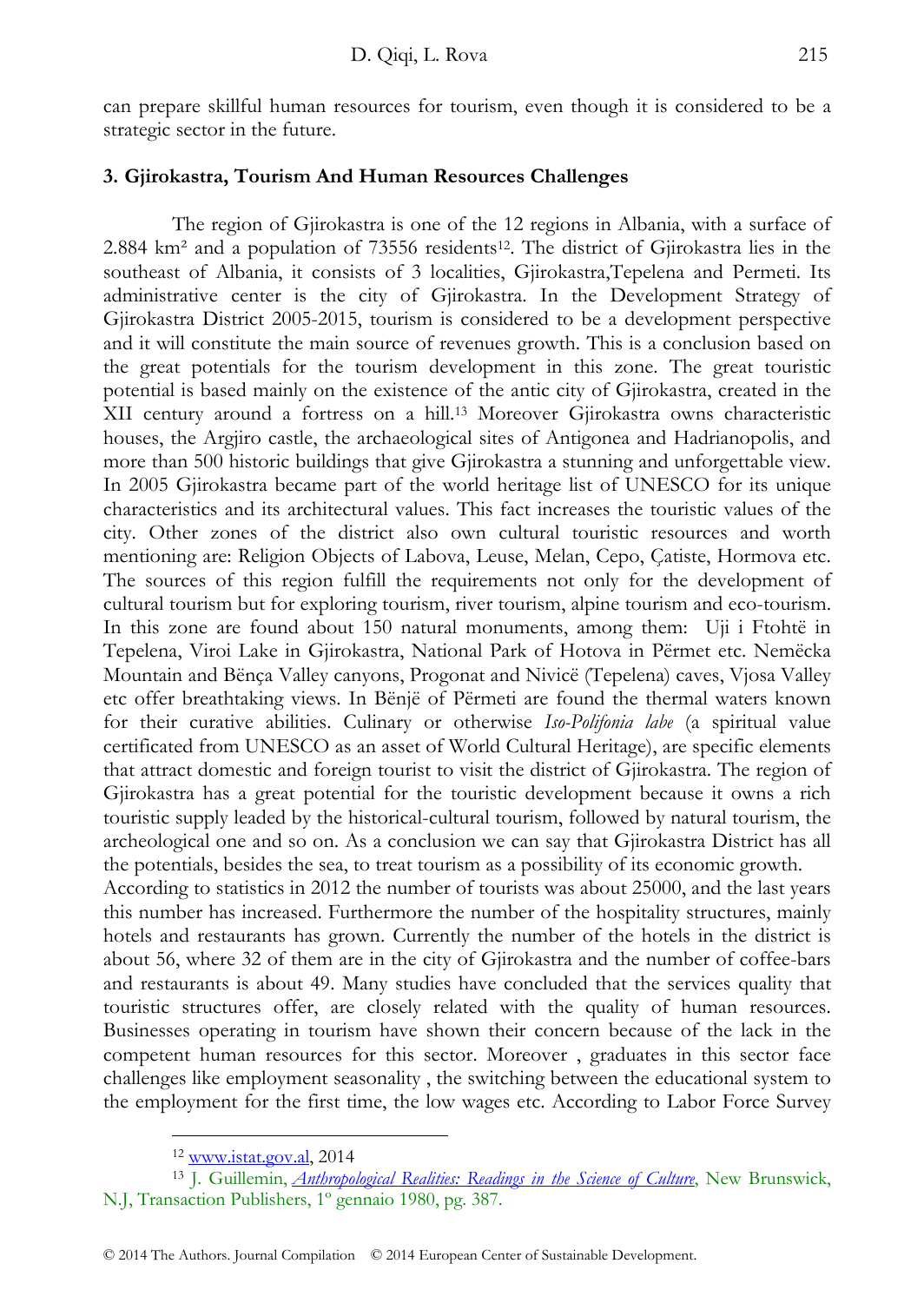can prepare skillful human resources for tourism, even though it is considered to be a strategic sector in the future.

#### **3. Gjirokastra, Tourism And Human Resources Challenges**

The region of Gjirokastra is one of the 12 regions in Albania, with a surface of 2.884 km² and a population of 73556 residents12. The district of Gjirokastra lies in the southeast of Albania, it consists of 3 localities, Gjirokastra,Tepelena and Permeti. Its administrative center is the city of Gjirokastra. In the Development Strategy of Gjirokastra District 2005-2015, tourism is considered to be a development perspective and it will constitute the main source of revenues growth. This is a conclusion based on the great potentials for the tourism development in this zone. The great touristic potential is based mainly on the existence of the antic city of Gjirokastra, created in the XII century around a fortress on a hill.13 Moreover Gjirokastra owns characteristic houses, the Argjiro castle, the archaeological sites of Antigonea and Hadrianopolis, and more than 500 historic buildings that give Gjirokastra a stunning and unforgettable view. In 2005 Gjirokastra became part of the world heritage list of UNESCO for its unique characteristics and its architectural values. This fact increases the touristic values of the city. Other zones of the district also own cultural touristic resources and worth mentioning are: Religion Objects of Labova, Leuse, Melan, Cepo, Çatiste, Hormova etc. The sources of this region fulfill the requirements not only for the development of cultural tourism but for exploring tourism, river tourism, alpine tourism and eco-tourism. In this zone are found about 150 natural monuments, among them: Uji i Ftohtë in Tepelena, Viroi Lake in Gjirokastra, National Park of Hotova in Përmet etc. Nemëcka Mountain and Bënça Valley canyons, Progonat and Nivicë (Tepelena) caves, Vjosa Valley etc offer breathtaking views. In Bënjë of Përmeti are found the thermal waters known for their curative abilities. Culinary or otherwise *Iso-Polifonia labe* (a spiritual value certificated from UNESCO as an asset of World Cultural Heritage), are specific elements that attract domestic and foreign tourist to visit the district of Gjirokastra. The region of Gjirokastra has a great potential for the touristic development because it owns a rich touristic supply leaded by the historical-cultural tourism, followed by natural tourism, the archeological one and so on. As a conclusion we can say that Gjirokastra District has all the potentials, besides the sea, to treat tourism as a possibility of its economic growth. According to statistics in 2012 the number of tourists was about 25000, and the last years

this number has increased. Furthermore the number of the hospitality structures, mainly hotels and restaurants has grown. Currently the number of the hotels in the district is about 56, where 32 of them are in the city of Gjirokastra and the number of coffee-bars and restaurants is about 49. Many studies have concluded that the services quality that touristic structures offer, are closely related with the quality of human resources. Businesses operating in tourism have shown their concern because of the lack in the competent human resources for this sector. Moreover , graduates in this sector face challenges like employment seasonality , the switching between the educational system to the employment for the first time, the low wages etc. According to Labor Force Survey

<sup>&</sup>lt;sup>12</sup> www.istat.gov.al, 2014<br><sup>13</sup> J. Guillemin, *Anthropological Realities: Readings in the Science of Culture*, New Brunswick, N.J, Transaction Publishers, 1º gennaio 1980, pg. 387.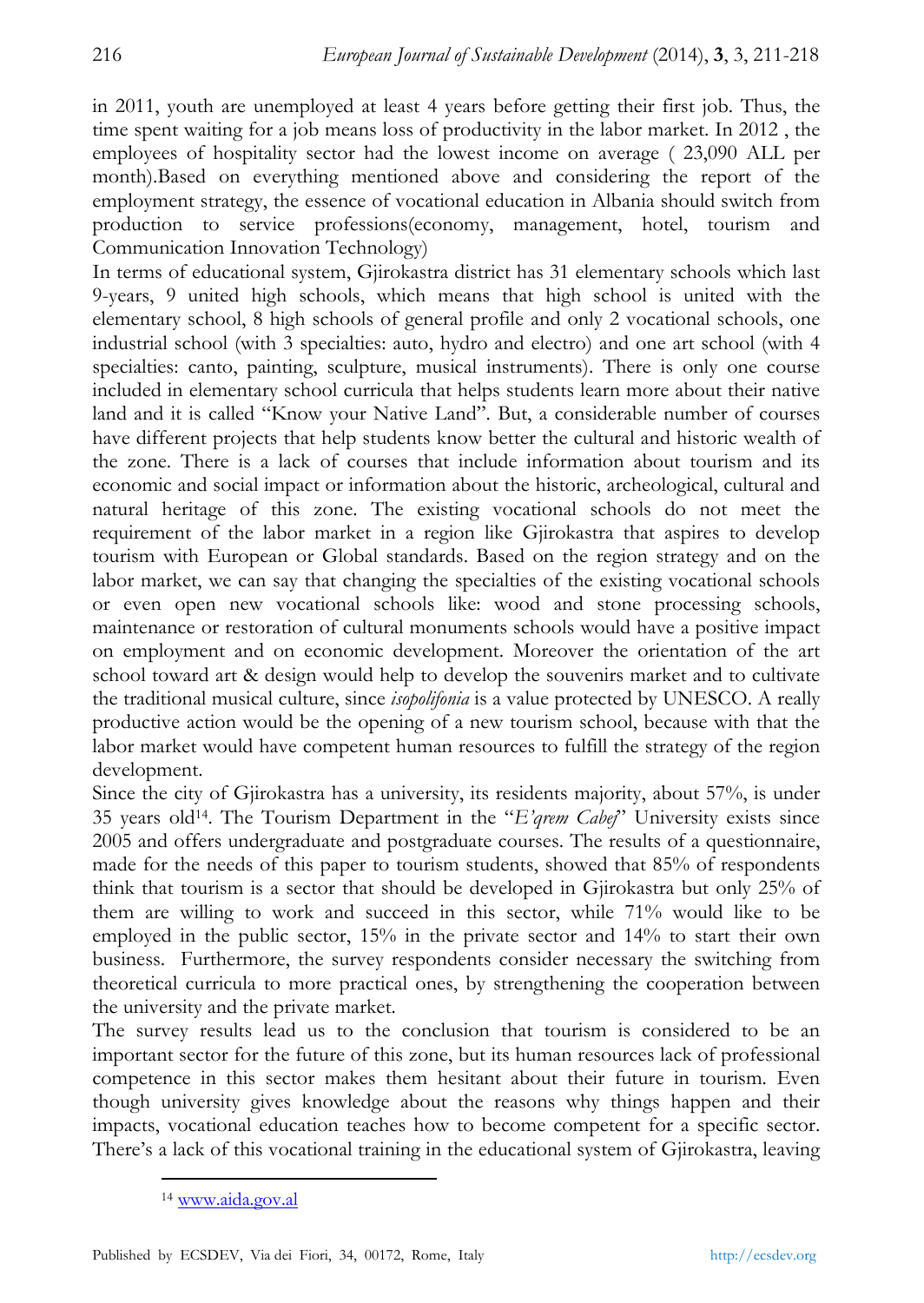in 2011, youth are unemployed at least 4 years before getting their first job. Thus, the time spent waiting for a job means loss of productivity in the labor market. In 2012 , the employees of hospitality sector had the lowest income on average ( 23,090 ALL per month).Based on everything mentioned above and considering the report of the employment strategy, the essence of vocational education in Albania should switch from production to service professions(economy, management, hotel, tourism and Communication Innovation Technology)

In terms of educational system, Gjirokastra district has 31 elementary schools which last 9-years, 9 united high schools, which means that high school is united with the elementary school, 8 high schools of general profile and only 2 vocational schools, one industrial school (with 3 specialties: auto, hydro and electro) and one art school (with 4 specialties: canto, painting, sculpture, musical instruments). There is only one course included in elementary school curricula that helps students learn more about their native land and it is called "Know your Native Land". But, a considerable number of courses have different projects that help students know better the cultural and historic wealth of the zone. There is a lack of courses that include information about tourism and its economic and social impact or information about the historic, archeological, cultural and natural heritage of this zone. The existing vocational schools do not meet the requirement of the labor market in a region like Gjirokastra that aspires to develop tourism with European or Global standards. Based on the region strategy and on the labor market, we can say that changing the specialties of the existing vocational schools or even open new vocational schools like: wood and stone processing schools, maintenance or restoration of cultural monuments schools would have a positive impact on employment and on economic development. Moreover the orientation of the art school toward art & design would help to develop the souvenirs market and to cultivate the traditional musical culture, since *isopolifonia* is a value protected by UNESCO. A really productive action would be the opening of a new tourism school, because with that the labor market would have competent human resources to fulfill the strategy of the region development.

Since the city of Gjirokastra has a university, its residents majority, about 57%, is under 35 years old14. The Tourism Department in the "*E'qrem Cabej*" University exists since 2005 and offers undergraduate and postgraduate courses. The results of a questionnaire, made for the needs of this paper to tourism students, showed that 85% of respondents think that tourism is a sector that should be developed in Gjirokastra but only 25% of them are willing to work and succeed in this sector, while 71% would like to be employed in the public sector, 15% in the private sector and 14% to start their own business. Furthermore, the survey respondents consider necessary the switching from theoretical curricula to more practical ones, by strengthening the cooperation between the university and the private market.

The survey results lead us to the conclusion that tourism is considered to be an important sector for the future of this zone, but its human resources lack of professional competence in this sector makes them hesitant about their future in tourism. Even though university gives knowledge about the reasons why things happen and their impacts, vocational education teaches how to become competent for a specific sector. There's a lack of this vocational training in the educational system of Gjirokastra, leaving

<sup>14</sup> www.aida.gov.al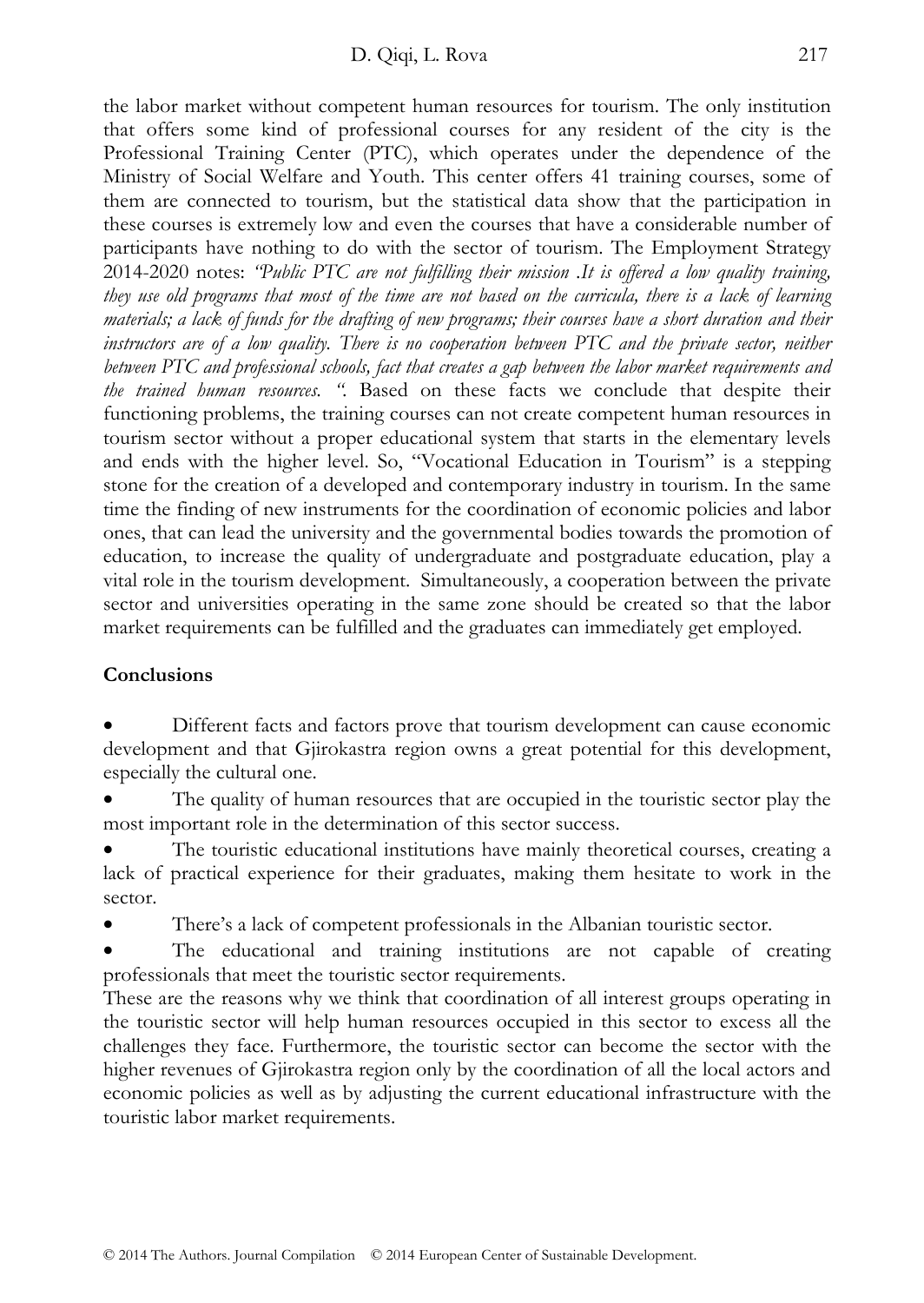the labor market without competent human resources for tourism. The only institution that offers some kind of professional courses for any resident of the city is the Professional Training Center (PTC), which operates under the dependence of the Ministry of Social Welfare and Youth. This center offers 41 training courses, some of them are connected to tourism, but the statistical data show that the participation in these courses is extremely low and even the courses that have a considerable number of participants have nothing to do with the sector of tourism. The Employment Strategy 2014-2020 notes: *"Public PTC are not fulfilling their mission .It is offered a low quality training, they use old programs that most of the time are not based on the curricula, there is a lack of learning materials; a lack of funds for the drafting of new programs; their courses have a short duration and their instructors are of a low quality. There is no cooperation between PTC and the private sector, neither between PTC and professional schools, fact that creates a gap between the labor market requirements and the trained human resources. ".* Based on these facts we conclude that despite their functioning problems, the training courses can not create competent human resources in tourism sector without a proper educational system that starts in the elementary levels and ends with the higher level. So, "Vocational Education in Tourism" is a stepping stone for the creation of a developed and contemporary industry in tourism. In the same time the finding of new instruments for the coordination of economic policies and labor ones, that can lead the university and the governmental bodies towards the promotion of education, to increase the quality of undergraduate and postgraduate education, play a vital role in the tourism development. Simultaneously, a cooperation between the private sector and universities operating in the same zone should be created so that the labor market requirements can be fulfilled and the graduates can immediately get employed.

## **Conclusions**

• Different facts and factors prove that tourism development can cause economic development and that Gjirokastra region owns a great potential for this development, especially the cultural one.

The quality of human resources that are occupied in the touristic sector play the most important role in the determination of this sector success.

The touristic educational institutions have mainly theoretical courses, creating a lack of practical experience for their graduates, making them hesitate to work in the sector.

There's a lack of competent professionals in the Albanian touristic sector.

The educational and training institutions are not capable of creating professionals that meet the touristic sector requirements.

These are the reasons why we think that coordination of all interest groups operating in the touristic sector will help human resources occupied in this sector to excess all the challenges they face. Furthermore, the touristic sector can become the sector with the higher revenues of Gjirokastra region only by the coordination of all the local actors and economic policies as well as by adjusting the current educational infrastructure with the touristic labor market requirements.